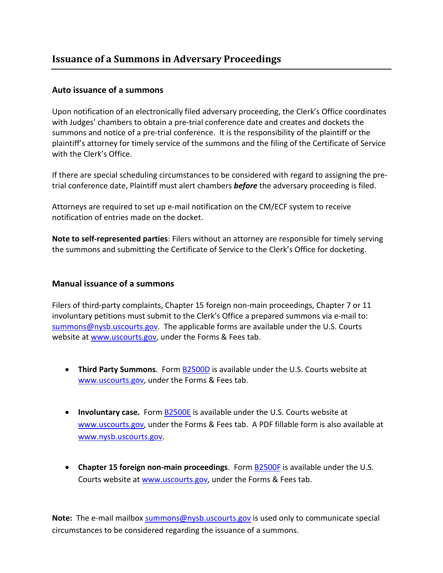## **Auto issuance of a summons**

Upon notification of an electronically filed adversary proceeding, the Clerk's Office coordinates with Judges' chambers to obtain a pre-trial conference date and creates and dockets the summons and notice of a pre-trial conference. It is the responsibility of the plaintiff or the plaintiff's attorney for timely service of the summons and the filing of the Certificate of Service with the Clerk's Office.

If there are special scheduling circumstances to be considered with regard to assigning the pretrial conference date, Plaintiff must alert chambers *before* the adversary proceeding is filed.

Attorneys are required to set up e-mail notification on the CM/ECF system to receive notification of entries made on the docket.

**Note to self-represented parties**: Filers without an attorney are responsible for timely serving the summons and submitting the Certificate of Service to the Clerk's Office for docketing.

## **Manual issuance of a summons**

Filers of third-party complaints, Chapter 15 foreign non-main proceedings, Chapter 7 or 11 involuntary petitions must submit to the Clerk's Office a prepared summons via e-mail to: [summons@nysb.uscourts.gov.](mailto:summons@nysb.uscourts.gov) The applicable forms are available under the U.S. Courts website at [www.uscourts.gov,](http://www.uscourts.gov/) under the Forms & Fees tab.

- **Third Party Summons**. Form **B2500D** is available under the U.S. Courts website at [www.uscourts.gov,](http://www.uscourts.gov/) under the Forms & Fees tab.
- **Involuntary case.** Form [B2500E](http://b2500e/) is available under the U.S. Courts website at [www.uscourts.gov,](http://www.uscourts.gov/) under the Forms & Fees tab. A PDF fillable form is also available at [www.nysb.uscourts.gov.](http://www.nysb.uscourts.gov/)
- **Chapter 15 foreign non-main proceedings**. For[m B2500F](http://b2500f/) is available under the U.S. Courts website at [www.uscourts.gov,](http://www.uscourts.gov/) under the Forms & Fees tab.

Note: The e-mail mailbo[x summons@nysb.uscourts.gov](mailto:summons@nysb.uscourts.gov) is used only to communicate special circumstances to be considered regarding the issuance of a summons.